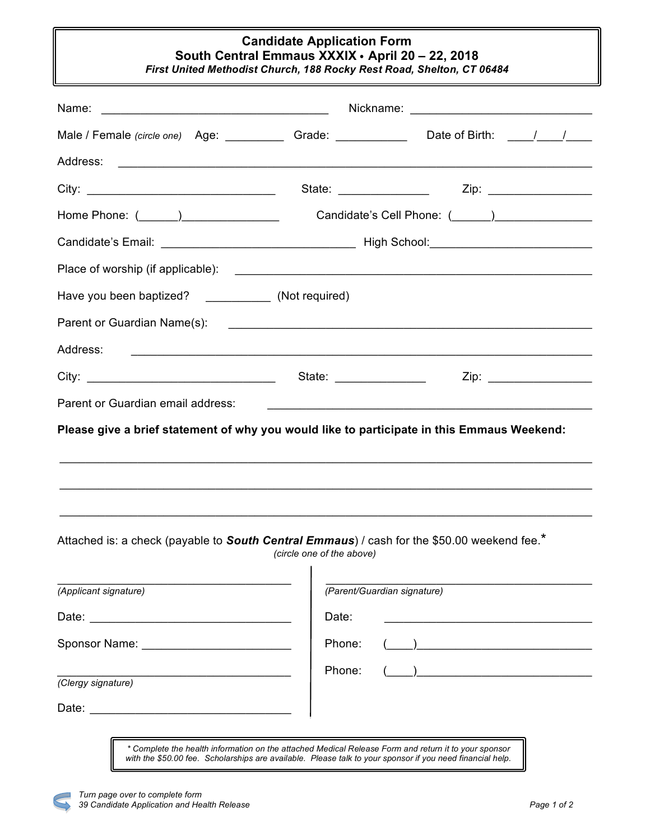## **Candidate Application Form South Central Emmaus XXXIX** • **April 20 – 22, 2018** *First United Methodist Church, 188 Rocky Rest Road, Shelton, CT 06484*

| Male / Female (circle one) Age: ____________Grade: ________________Date of Birth: ____/___/_________                                       |                           |                                                                                                                                                                                                                                                                                                                                                     |  |
|--------------------------------------------------------------------------------------------------------------------------------------------|---------------------------|-----------------------------------------------------------------------------------------------------------------------------------------------------------------------------------------------------------------------------------------------------------------------------------------------------------------------------------------------------|--|
|                                                                                                                                            |                           |                                                                                                                                                                                                                                                                                                                                                     |  |
|                                                                                                                                            |                           |                                                                                                                                                                                                                                                                                                                                                     |  |
|                                                                                                                                            |                           |                                                                                                                                                                                                                                                                                                                                                     |  |
|                                                                                                                                            |                           |                                                                                                                                                                                                                                                                                                                                                     |  |
|                                                                                                                                            |                           |                                                                                                                                                                                                                                                                                                                                                     |  |
| Have you been baptized? _____________ (Not required)                                                                                       |                           |                                                                                                                                                                                                                                                                                                                                                     |  |
|                                                                                                                                            |                           |                                                                                                                                                                                                                                                                                                                                                     |  |
| Address:<br><u> 1989 - Johann John Stein, markin fan it fjort fan it fjort fan it fjort fan it fjort fan it fjort fan it fjort f</u>       |                           |                                                                                                                                                                                                                                                                                                                                                     |  |
|                                                                                                                                            |                           | Zip: ___________________                                                                                                                                                                                                                                                                                                                            |  |
| Parent or Guardian email address:                                                                                                          |                           | <u> 1989 - Johann Harry Harry Harry Harry Harry Harry Harry Harry Harry Harry Harry Harry Harry Harry Harry Harry</u>                                                                                                                                                                                                                               |  |
| Please give a brief statement of why you would like to participate in this Emmaus Weekend:                                                 |                           |                                                                                                                                                                                                                                                                                                                                                     |  |
|                                                                                                                                            |                           |                                                                                                                                                                                                                                                                                                                                                     |  |
|                                                                                                                                            | (circle one of the above) |                                                                                                                                                                                                                                                                                                                                                     |  |
|                                                                                                                                            |                           | (Parent/Guardian signature)                                                                                                                                                                                                                                                                                                                         |  |
|                                                                                                                                            | Date:                     |                                                                                                                                                                                                                                                                                                                                                     |  |
|                                                                                                                                            | Phone:                    |                                                                                                                                                                                                                                                                                                                                                     |  |
|                                                                                                                                            | Phone:                    |                                                                                                                                                                                                                                                                                                                                                     |  |
| Attached is: a check (payable to South Central Emmaus) / cash for the \$50.00 weekend fee.*<br>(Applicant signature)<br>(Clergy signature) |                           | $\begin{picture}(20,10) \put(0,0){\line(1,0){10}} \put(15,0){\line(1,0){10}} \put(15,0){\line(1,0){10}} \put(15,0){\line(1,0){10}} \put(15,0){\line(1,0){10}} \put(15,0){\line(1,0){10}} \put(15,0){\line(1,0){10}} \put(15,0){\line(1,0){10}} \put(15,0){\line(1,0){10}} \put(15,0){\line(1,0){10}} \put(15,0){\line(1,0){10}} \put(15,0){\line(1$ |  |